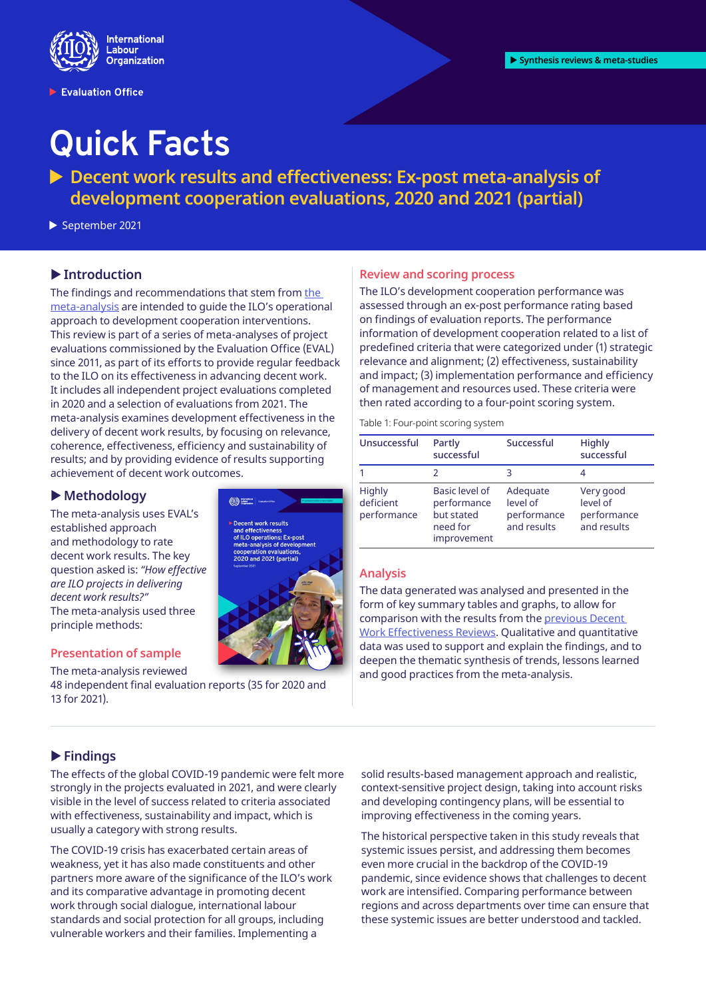

Evaluation Office

# **Quick Facts**

▶ Decent work results and effectiveness: Ex-post meta-analysis of **development cooperation evaluations, 2020 and 2021 (partial)**

September 2021

# **Introduction**

The findings and recommendations that stem from the [meta-analysis](https://www.ilo.org/global/docs/WCMS_822238/lang--en/index.htm) are intended to guide the ILO's operational approach to development cooperation interventions. This review is part of a series of meta-analyses of project evaluations commissioned by the Evaluation Office (EVAL) since 2011, as part of its efforts to provide regular feedback to the ILO on its effectiveness in advancing decent work. It includes all independent project evaluations completed in 2020 and a selection of evaluations from 2021. The meta-analysis examines development effectiveness in the delivery of decent work results, by focusing on relevance, coherence, effectiveness, efficiency and sustainability of results; and by providing evidence of results supporting achievement of decent work outcomes.

# X**Methodology**

The meta-analysis uses EVAL's established approach and methodology to rate decent work results. The key question asked is: *"How effective are ILO projects in delivering decent work results?"* The meta-analysis used three principle methods:

### **Presentation of sample**

The meta-analysis reviewed

48 independent final evaluation reports (35 for 2020 and 13 for 2021).



### **Review and scoring process**

The ILO's development cooperation performance was assessed through an ex-post performance rating based on findings of evaluation reports. The performance information of development cooperation related to a list of predefined criteria that were categorized under (1) strategic relevance and alignment; (2) effectiveness, sustainability and impact; (3) implementation performance and efficiency of management and resources used. These criteria were then rated according to a four-point scoring system.

Table 1: Four-point scoring system

| Unsuccessful                              | Partly<br>successful                                                   | Successful                                         | <b>Highly</b><br>successful                         |
|-------------------------------------------|------------------------------------------------------------------------|----------------------------------------------------|-----------------------------------------------------|
|                                           |                                                                        |                                                    |                                                     |
| <b>Highly</b><br>deficient<br>performance | Basic level of<br>performance<br>but stated<br>need for<br>improvement | Adequate<br>level of<br>performance<br>and results | Very good<br>level of<br>performance<br>and results |

### **Analysis**

The data generated was analysed and presented in the form of key summary tables and graphs, to allow for comparison with the results from the [previous Decent](https://www.ilo.org/eval/synthesis-and-meta/lang--en/index.htm)  [Work Effectiveness Reviews](https://www.ilo.org/eval/synthesis-and-meta/lang--en/index.htm). Qualitative and quantitative data was used to support and explain the findings, and to deepen the thematic synthesis of trends, lessons learned and good practices from the meta-analysis.

# **Findings**

The effects of the global COVID-19 pandemic were felt more strongly in the projects evaluated in 2021, and were clearly visible in the level of success related to criteria associated with effectiveness, sustainability and impact, which is usually a category with strong results.

The COVID-19 crisis has exacerbated certain areas of weakness, yet it has also made constituents and other partners more aware of the significance of the ILO's work and its comparative advantage in promoting decent work through social dialogue, international labour standards and social protection for all groups, including vulnerable workers and their families. Implementing a

solid results-based management approach and realistic, context-sensitive project design, taking into account risks and developing contingency plans, will be essential to improving effectiveness in the coming years.

The historical perspective taken in this study reveals that systemic issues persist, and addressing them becomes even more crucial in the backdrop of the COVID-19 pandemic, since evidence shows that challenges to decent work are intensified. Comparing performance between regions and across departments over time can ensure that these systemic issues are better understood and tackled.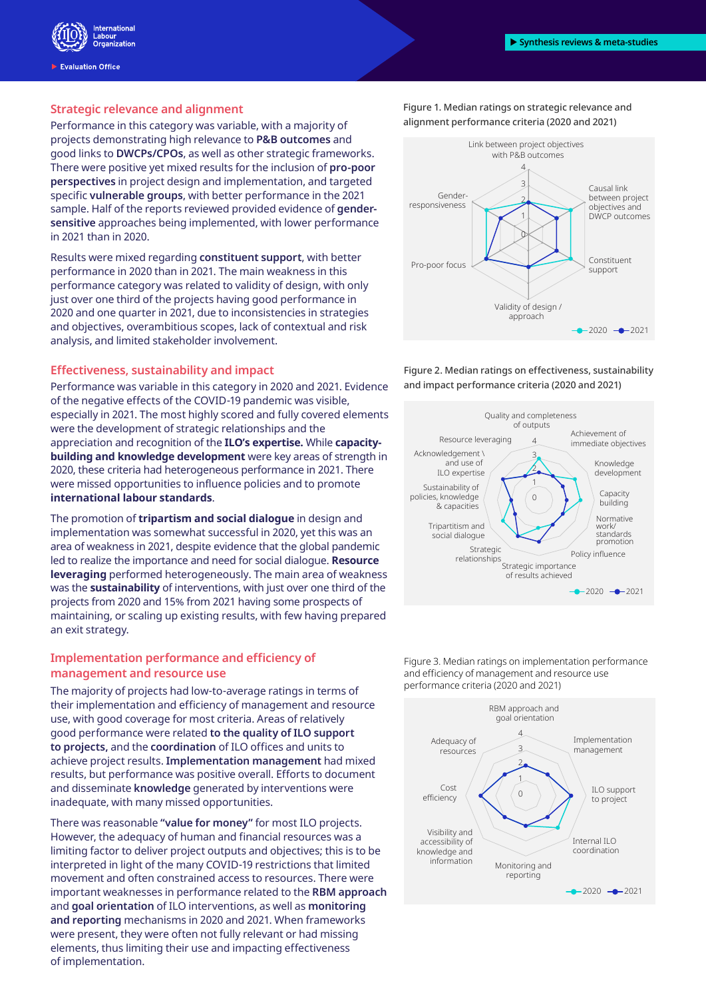

**Evaluation Office** 

#### **Strategic relevance and alignment**

Performance in this category was variable, with a majority of projects demonstrating high relevance to **P&B outcomes** and good links to **DWCPs/CPOs**, as well as other strategic frameworks. There were positive yet mixed results for the inclusion of **pro-poor perspectives** in project design and implementation, and targeted specific **vulnerable groups**, with better performance in the 2021 sample. Half of the reports reviewed provided evidence of **gendersensitive** approaches being implemented, with lower performance in 2021 than in 2020.

Results were mixed regarding **constituent support**, with better performance in 2020 than in 2021. The main weakness in this performance category was related to validity of design, with only just over one third of the projects having good performance in 2020 and one quarter in 2021, due to inconsistencies in strategies and objectives, overambitious scopes, lack of contextual and risk analysis, and limited stakeholder involvement.

### **Effectiveness, sustainability and impact**

Performance was variable in this category in 2020 and 2021. Evidence of the negative effects of the COVID-19 pandemic was visible, especially in 2021. The most highly scored and fully covered elements were the development of strategic relationships and the appreciation and recognition of the **ILO's expertise.** While **capacitybuilding and knowledge development** were key areas of strength in 2020, these criteria had heterogeneous performance in 2021. There were missed opportunities to influence policies and to promote **international labour standards**.

The promotion of **tripartism and social dialogue** in design and implementation was somewhat successful in 2020, yet this was an area of weakness in 2021, despite evidence that the global pandemic led to realize the importance and need for social dialogue. **Resource leveraging** performed heterogeneously. The main area of weakness was the **sustainability** of interventions, with just over one third of the projects from 2020 and 15% from 2021 having some prospects of maintaining, or scaling up existing results, with few having prepared an exit strategy.

## **Implementation performance and efficiency of management and resource use**

The majority of projects had low-to-average ratings in terms of their implementation and efficiency of management and resource use, with good coverage for most criteria. Areas of relatively good performance were related **to the quality of ILO support to projects,** and the **coordination** of ILO offices and units to achieve project results. **Implementation management** had mixed results, but performance was positive overall. Efforts to document and disseminate **knowledge** generated by interventions were inadequate, with many missed opportunities.

There was reasonable **"value for money"** for most ILO projects. However, the adequacy of human and financial resources was a limiting factor to deliver project outputs and objectives; this is to be interpreted in light of the many COVID-19 restrictions that limited movement and often constrained access to resources. There were important weaknesses in performance related to the **RBM approach** and **goal orientation** of ILO interventions, as well as **monitoring and reporting** mechanisms in 2020 and 2021. When frameworks were present, they were often not fully relevant or had missing elements, thus limiting their use and impacting effectiveness of implementation.

Figure 1. Median ratings on strategic relevance and alignment performance criteria (2020 and 2021)



Figure 2. Median ratings on effectiveness, sustainability and impact performance criteria (2020 and 2021)



Figure 3. Median ratings on implementation performance and efficiency of management and resource use performance criteria (2020 and 2021)